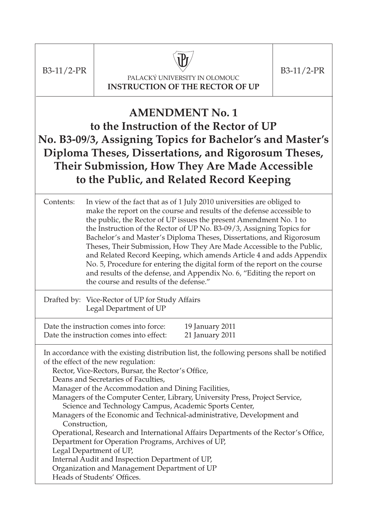$B3-11/2-PR$  B3-11/2-PR



PALACKÝ UNIVERSITY IN OLOMOUC **INSTRUCTION OF THE RECTOR OF UP**

### **AMENDMENT No. 1 to the Instruction of the Rector of UP No. B3-09/3, Assigning Topics for Bachelor's and Master's Diploma Theses, Dissertations, and Rigorosum Theses, Their Submission, How They Are Made Accessible to the Public, and Related Record Keeping**

Contents: In view of the fact that as of 1 July 2010 universities are obliged to make the report on the course and results of the defense accessible to the public, the Rector of UP issues the present Amendment No. 1 to the Instruction of the Rector of UP No. B3-09/3, Assigning Topics for Bachelor's and Master's Diploma Theses, Dissertations, and Rigorosum Theses, Their Submission, How They Are Made Accessible to the Public, and Related Record Keeping, which amends Article 4 and adds Appendix No. 5, Procedure for entering the digital form of the report on the course and results of the defense, and Appendix No. 6, "Editing the report on the course and results of the defense."

Drafted by: Vice-Rector of UP for Study Affairs Legal Department of UP

Date the instruction comes into force: 19 January 2011 Date the instruction comes into effect: 21 January 2011

In accordance with the existing distribution list, the following persons shall be notified of the effect of the new regulation:

Rector, Vice-Rectors, Bursar, the Rector's Office,

Deans and Secretaries of Faculties,

Manager of the Accommodation and Dining Facilities,

Managers of the Computer Center, Library, University Press, Project Service, Science and Technology Campus, Academic Sports Center,

Managers of the Economic and Technical-administrative, Development and Construction,

Operational, Research and International Affairs Departments of the Rector's Office, Department for Operation Programs, Archives of UP,

Legal Department of UP,

Internal Audit and Inspection Department of UP,

Organization and Management Department of UP

Heads of Students' Offices.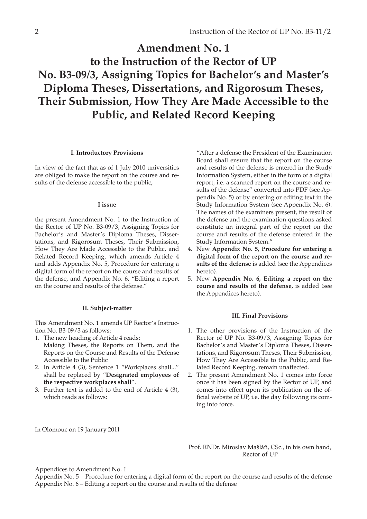### **Amendment No. 1 to the Instruction of the Rector of UP No. B3-09/3, Assigning Topics for Bachelor's and Master's Diploma Theses, Dissertations, and Rigorosum Theses, Their Submission, How They Are Made Accessible to the Public, and Related Record Keeping**

#### **I. Introductory Provisions**

In view of the fact that as of 1 July 2010 universities are obliged to make the report on the course and results of the defense accessible to the public,

#### **I issue**

the present Amendment No. 1 to the Instruction of the Rector of UP No. B3-09/3, Assigning Topics for Bachelor's and Master's Diploma Theses, Dissertations, and Rigorosum Theses, Their Submission, How They Are Made Accessible to the Public, and Related Record Keeping, which amends Article 4 and adds Appendix No. 5, Procedure for entering a digital form of the report on the course and results of the defense, and Appendix No. 6, "Editing a report on the course and results of the defense."

#### **II. Subject-matter**

This Amendment No. 1 amends UP Rector's Instruction No. B3-09/3 as follows:

- 1. The new heading of Article 4 reads: Making Theses, the Reports on Them, and the Reports on the Course and Results of the Defense Accessible to the Public
- 2. In Article 4 (3), Sentence 1 "Workplaces shall..." shall be replaced by "**Designated employees of the respective workplaces shall**".
- 3. Further text is added to the end of Article 4 (3), which reads as follows:

"After a defense the President of the Examination Board shall ensure that the report on the course and results of the defense is entered in the Study Information System, either in the form of a digital report, i.e. a scanned report on the course and results of the defense" converted into PDF (see Appendix No. 5) or by entering or editing text in the Study Information System (see Appendix No. 6). The names of the examiners present, the result of the defense and the examination questions asked constitute an integral part of the report on the course and results of the defense entered in the Study Information System."

- 4. New **Appendix No. 5, Procedure for entering a digital form of the report on the course and results of the defense** is added (see the Appendices hereto).
- 5. New **Appendix No. 6, Editing a report on the course and results of the defense**, is added (see the Appendices hereto).

#### **III. Final Provisions**

- 1. The other provisions of the Instruction of the Rector of UP No. B3-09/3, Assigning Topics for Bachelor's and Master's Diploma Theses, Dissertations, and Rigorosum Theses, Their Submission, How They Are Accessible to the Public, and Related Record Keeping, remain unaffected.
- 2. The present Amendment No. 1 comes into force once it has been signed by the Rector of UP, and comes into effect upon its publication on the official website of UP, i.e. the day following its coming into force.

In Olomouc on 19 January 2011

Prof. RNDr. Miroslav Mašláň, CSc., in his own hand, Rector of UP

Appendices to Amendment No. 1

Appendix No. 5 – Procedure for entering a digital form of the report on the course and results of the defense Appendix No. 6 – Editing a report on the course and results of the defense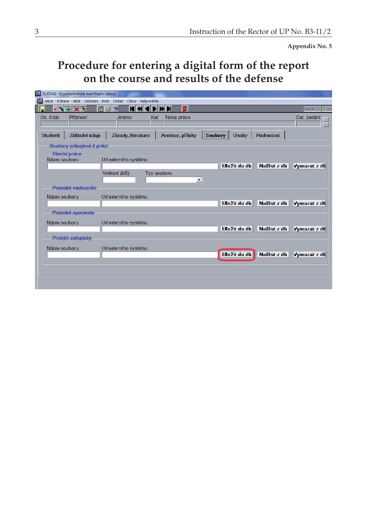**Appendix No. 5** 

## **Procedure for entering a digital form of the report on the course and results of the defense**

|                 | 15/STAG - [Vysokoškolské kvalifikační práce] |                                                   |                      |         |              |             |              |
|-----------------|----------------------------------------------|---------------------------------------------------|----------------------|---------|--------------|-------------|--------------|
| PA.             |                                              | Akce Editace Blok Záznam Pole Dotaz Okno Nápověda |                      |         |              |             |              |
| ll'—            | マママ                                          | 值<br>$\overline{2}$                               | П<br>mы              |         |              |             | AN0030 3.06  |
| Os. číslo       | Příjmení                                     | Jméno                                             | Téma práce<br>Kat    |         |              |             | Dat. zadání  |
|                 |                                              |                                                   |                      |         |              |             |              |
| <b>Studenti</b> | Základní údaje                               | Zásady, literatura                                | Anotace, přílohy     | Soubory | Osoby        | Hodnocení   |              |
|                 | Soubory připojené k práci                    |                                                   |                      |         |              |             |              |
|                 | <b>Vlastní práce</b>                         |                                                   |                      |         |              |             |              |
| Název souboru   |                                              | Url externího systému                             |                      |         |              |             |              |
|                 |                                              |                                                   |                      |         | Uložit do db | Načíst z db | Vymazat z db |
|                 |                                              | Velikost (kB)                                     | <b>Typ souboru</b>   |         |              |             |              |
|                 |                                              |                                                   | $\blacktriangledown$ |         |              |             |              |
|                 | Posudek vedoucího                            |                                                   |                      |         |              |             |              |
| Název souboru   |                                              | Url externího systému                             |                      |         |              |             |              |
|                 |                                              |                                                   |                      |         | Uložit do db | Načíst z db | Vymazat z db |
|                 | <b>Posudek</b> oponenta                      |                                                   |                      |         |              |             |              |
| Název souboru   |                                              | Url externího systému                             |                      |         |              |             |              |
|                 |                                              |                                                   |                      |         | Uložit do db | Načíst z db | Vymazat z db |
|                 | Prùběh obhajoby                              |                                                   |                      |         |              |             |              |
|                 |                                              |                                                   |                      |         |              |             |              |
| Název souboru   |                                              | Url externího systému                             |                      |         |              |             |              |
|                 |                                              |                                                   |                      |         | Uložit do db | Načíst z db | Vymazat z db |
|                 |                                              |                                                   |                      |         |              |             |              |
|                 |                                              |                                                   |                      |         |              |             |              |
|                 |                                              |                                                   |                      |         |              |             |              |
|                 |                                              |                                                   |                      |         |              |             |              |